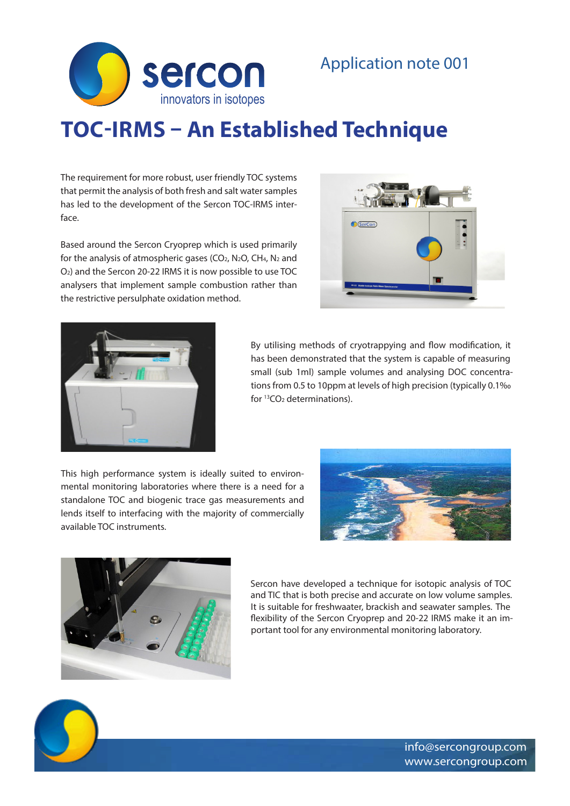

# **TOC-IRMS – An Established Technique**

The requirement for more robust, user friendly TOC systems that permit the analysis of both fresh and salt water samples has led to the development of the Sercon TOC-IRMS interface.

Based around the Sercon Cryoprep which is used primarily for the analysis of atmospheric gases ( $CO<sub>2</sub>$ , N<sub>2</sub>O, CH<sub>4</sub>, N<sub>2</sub> and O2) and the Sercon 20-22 IRMS it is now possible to use TOC analysers that implement sample combustion rather than the restrictive persulphate oxidation method.





By utilising methods of cryotrappying and flow modification, it has been demonstrated that the system is capable of measuring small (sub 1ml) sample volumes and analysing DOC concentrations from 0.5 to 10ppm at levels of high precision (typically 0.1‰ for 13CO2 determinations).

This high performance system is ideally suited to environmental monitoring laboratories where there is a need for a standalone TOC and biogenic trace gas measurements and lends itself to interfacing with the majority of commercially available TOC instruments.





Sercon have developed a technique for isotopic analysis of TOC and TIC that is both precise and accurate on low volume samples. It is suitable for freshwaater, brackish and seawater samples. The flexibility of the Sercon Cryoprep and 20-22 IRMS make it an important tool for any environmental monitoring laboratory.